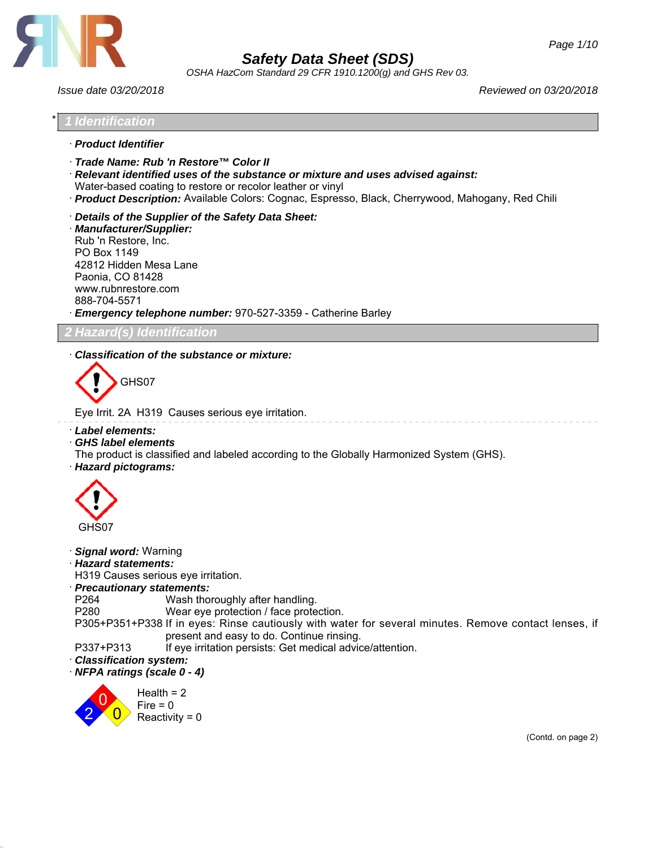

*OSHA HazCom Standard 29 CFR 1910.1200(g) and GHS Rev 03.*

*Issue date 03/20/2018 Reviewed on 03/20/2018*

### \* *1 Identification*

- · *Product Identifier*
- · *Trade Name: Rub 'n Restore™ Color II*
- · *Relevant identified uses of the substance or mixture and uses advised against:*
- Water-based coating to restore or recolor leather or vinyl
- · *Product Description:* Available Colors: Cognac, Espresso, Black, Cherrywood, Mahogany, Red Chili
- · *Details of the Supplier of the Safety Data Sheet:*
- · *Manufacturer/Supplier:* Rub 'n Restore, Inc. PO Box 1149 42812 Hidden Mesa Lane Paonia, CO 81428 www.rubnrestore.com 888-704-5571
- · *Emergency telephone number:* 970-527-3359 Catherine Barley

# *2 Hazard(s) Identification*

· *Classification of the substance or mixture:*



Eye Irrit. 2A H319 Causes serious eye irritation.

- · *Label elements:*
- · *GHS label elements*
- The product is classified and labeled according to the Globally Harmonized System (GHS).
- · *Hazard pictograms:*



- · *Signal word:* Warning
- · *Hazard statements:*

H319 Causes serious eye irritation.

- · *Precautionary statements:*
	- Wash thoroughly after handling.
- P280 Wear eye protection / face protection.
- P305+P351+P338 If in eyes: Rinse cautiously with water for several minutes. Remove contact lenses, if present and easy to do. Continue rinsing.

P337+P313 If eye irritation persists: Get medical advice/attention.

· *Classification system:*

· *NFPA ratings (scale 0 - 4)*



(Contd. on page 2)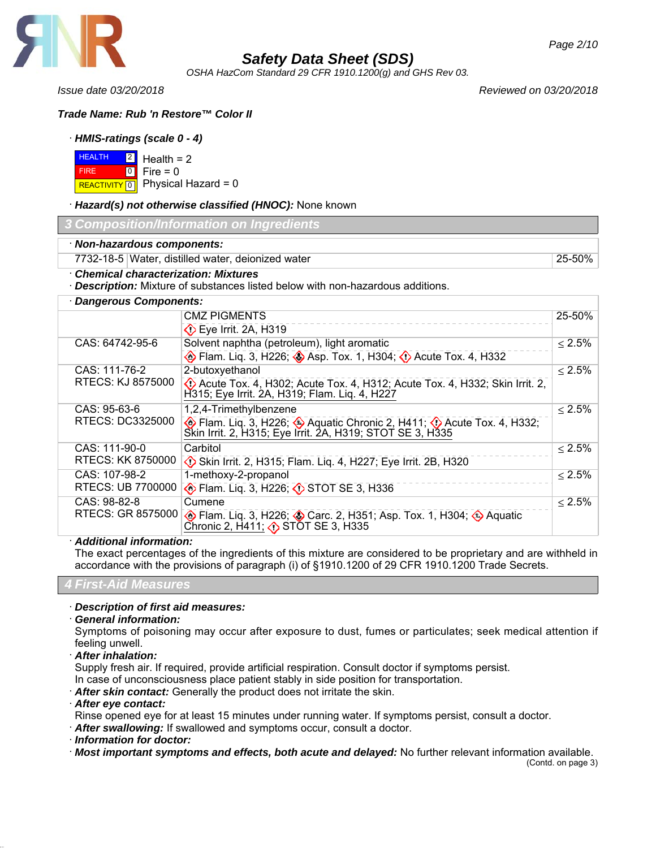

*OSHA HazCom Standard 29 CFR 1910.1200(g) and GHS Rev 03.*

*Issue date 03/20/2018 Reviewed on 03/20/2018*

# *Trade Name: Rub 'n Restore™ Color II*

# · *HMIS-ratings (scale 0 - 4)*

**HEALTH FIRE REACTIVITY** 0 2  $\overline{0}$ Health  $= 2$  $Fire = 0$ Physical Hazard = 0

### · *Hazard(s) not otherwise classified (HNOC):* None known

|  |  | 3 Composition/Information on Ingredients |
|--|--|------------------------------------------|

### · *Non-hazardous components:*

7732-18-5 Water, distilled water, deionized water 25-50%

# · *Chemical characterization: Mixtures*

· *Description:* Mixture of substances listed below with non-hazardous additions.

# · *Dangerous Components:*

|                          | <b>CMZ PIGMENTS</b>                                                                                                                   | 25-50%       |
|--------------------------|---------------------------------------------------------------------------------------------------------------------------------------|--------------|
|                          | Eye Irrit. 2A, H319                                                                                                                   |              |
| CAS: 64742-95-6          | Solvent naphtha (petroleum), light aromatic                                                                                           | $\leq 2.5\%$ |
|                          | <b>Elam.</b> Liq. 3, H226; <b>3</b> Asp. Tox. 1, H304; <b>3</b> Acute Tox. 4, H332                                                    |              |
| CAS: 111-76-2            | 2-butoxyethanol                                                                                                                       | $\leq 2.5\%$ |
| <b>RTECS: KJ 8575000</b> | $\bullet$ Acute Tox. 4, H302; Acute Tox. 4, H312; Acute Tox. 4, H332; Skin Irrit. 2,<br>H315; Eye Irrit. 2A, H319; Flam. Lig. 4, H227 |              |
| CAS: 95-63-6             | 1,2,4-Trimethylbenzene                                                                                                                | $\leq 2.5\%$ |
| RTECS: DC3325000         | Flam. Liq. 3, H226; Aquatic Chronic 2, H411; O Acute Tox. 4, H332;<br>Skin Irrit. 2, H315; Eye Irrit. 2A, H319; STOT SE 3, H335       |              |
| CAS: 111-90-0            | Carbitol                                                                                                                              | $\leq 2.5\%$ |
| RTECS: KK 8750000        | Skin Irrit. 2, H315; Flam. Liq. 4, H227; Eye Irrit. 2B, H320                                                                          |              |
| CAS: 107-98-2            | 1-methoxy-2-propanol                                                                                                                  | $< 2.5\%$    |
| <b>RTECS: UB 7700000</b> | Elam. Liq. 3, H226; (1) STOT SE 3, H336                                                                                               |              |
| CAS: 98-82-8             | Cumene                                                                                                                                | $\leq 2.5\%$ |
| <b>RTECS: GR 8575000</b> | <b>Elam.</b> Liq. 3, H226; Carc. 2, H351; Asp. Tox. 1, H304; $\leftrightarrow$ Aquatic<br>Chronic 2, H411; (1) STOT SE 3, H335        |              |

## · *Additional information:*

The exact percentages of the ingredients of this mixture are considered to be proprietary and are withheld in accordance with the provisions of paragraph (i) of §1910.1200 of 29 CFR 1910.1200 Trade Secrets.

## *4 First-Aid Measures*

# · *Description of first aid measures:*

### · *General information:*

Symptoms of poisoning may occur after exposure to dust, fumes or particulates; seek medical attention if feeling unwell.

· *After inhalation:*

Supply fresh air. If required, provide artificial respiration. Consult doctor if symptoms persist.

In case of unconsciousness place patient stably in side position for transportation.

- · *After skin contact:* Generally the product does not irritate the skin.
- · *After eye contact:*

Rinse opened eye for at least 15 minutes under running water. If symptoms persist, consult a doctor.

- · *After swallowing:* If swallowed and symptoms occur, consult a doctor.
- · *Information for doctor:*
- · *Most important symptoms and effects, both acute and delayed:* No further relevant information available.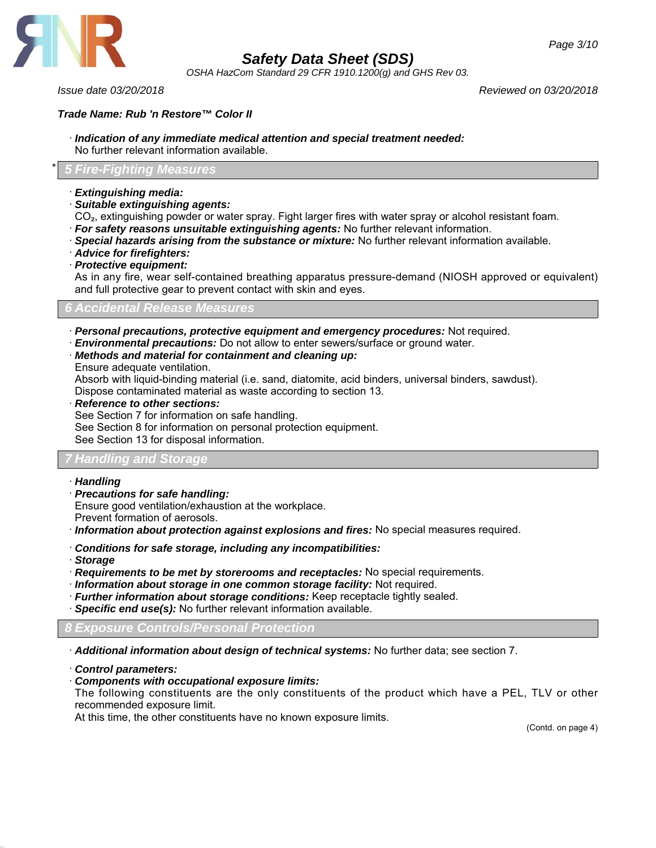

*OSHA HazCom Standard 29 CFR 1910.1200(g) and GHS Rev 03.*

*Issue date 03/20/2018 Reviewed on 03/20/2018*

# *Trade Name: Rub 'n Restore™ Color II*

- · *Indication of any immediate medical attention and special treatment needed:* No further relevant information available.
- \* *5 Fire-Fighting Measures*
- · *Extinguishing media:*
- · *Suitable extinguishing agents:*

CO<sub>2</sub>, extinguishing powder or water spray. Fight larger fires with water spray or alcohol resistant foam.

- · *For safety reasons unsuitable extinguishing agents:* No further relevant information.
- · *Special hazards arising from the substance or mixture:* No further relevant information available.
- · *Advice for firefighters:*
- · *Protective equipment:*

As in any fire, wear self-contained breathing apparatus pressure-demand (NIOSH approved or equivalent) and full protective gear to prevent contact with skin and eyes.

*6 Accidental Release Measures*

- · *Personal precautions, protective equipment and emergency procedures:* Not required.
- · *Environmental precautions:* Do not allow to enter sewers/surface or ground water.
- · *Methods and material for containment and cleaning up:*
- Ensure adequate ventilation.

Absorb with liquid-binding material (i.e. sand, diatomite, acid binders, universal binders, sawdust). Dispose contaminated material as waste according to section 13.

· *Reference to other sections:*

See Section 7 for information on safe handling.

See Section 8 for information on personal protection equipment.

See Section 13 for disposal information.

## *7 Handling and Storage*

- · *Handling*
- · *Precautions for safe handling:*

Ensure good ventilation/exhaustion at the workplace.

Prevent formation of aerosols.

· *Information about protection against explosions and fires:* No special measures required.

- · *Conditions for safe storage, including any incompatibilities:*
- · *Storage*
- · *Requirements to be met by storerooms and receptacles:* No special requirements.
- · *Information about storage in one common storage facility:* Not required.
- · *Further information about storage conditions:* Keep receptacle tightly sealed.
- · *Specific end use(s):* No further relevant information available.

*8 Exposure Controls/Personal Protection*

· *Additional information about design of technical systems:* No further data; see section 7.

· *Control parameters:*

## · *Components with occupational exposure limits:*

The following constituents are the only constituents of the product which have a PEL, TLV or other recommended exposure limit.

At this time, the other constituents have no known exposure limits.

(Contd. on page 4)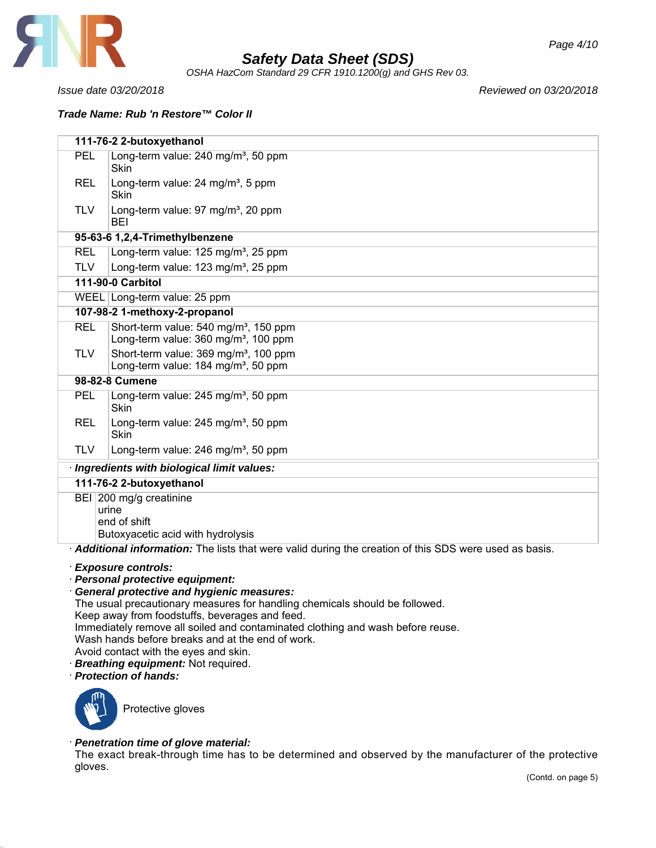

*OSHA HazCom Standard 29 CFR 1910.1200(g) and GHS Rev 03.*

*Issue date 03/20/2018 Reviewed on 03/20/2018*

# *Trade Name: Rub 'n Restore™ Color II*

**111-76-2 2-butoxyethanol** PEL Long-term value: 240 mg/m<sup>3</sup>, 50 ppm Skin REL  $\vert$  Long-term value: 24 mg/m<sup>3</sup>, 5 ppm Skin TLV  $\vert$  Long-term value: 97 mg/m<sup>3</sup>, 20 ppm BEI **95-63-6 1,2,4-Trimethylbenzene** REL | Long-term value: 125 mg/m<sup>3</sup>, 25 ppm TLV  $\vert$  Long-term value: 123 mg/m<sup>3</sup>, 25 ppm **111-90-0 Carbitol** WEEL Long-term value: 25 ppm **107-98-2 1-methoxy-2-propanol** REL Short-term value: 540 mg/m<sup>3</sup>, 150 ppm Long-term value:  $360 \text{ mg/m}^3$ , 100 ppm TLV Short-term value:  $369 \text{ mg/m}^3$ , 100 ppm Long-term value:  $184$  mg/m<sup>3</sup>, 50 ppm **98-82-8 Cumene** PEL Long-term value: 245 mg/m<sup>3</sup>, 50 ppm Skin REL | Long-term value: 245 mg/m<sup>3</sup>, 50 ppm **Skin** TLV  $\vert$  Long-term value: 246 mg/m<sup>3</sup>, 50 ppm · *Ingredients with biological limit values:* **111-76-2 2-butoxyethanol** BEI 200 mg/g creatinine urine end of shift Butoxyacetic acid with hydrolysis · *Additional information:* The lists that were valid during the creation of this SDS were used as basis.

· *Exposure controls:*

- · *Personal protective equipment:*
- · *General protective and hygienic measures:*

The usual precautionary measures for handling chemicals should be followed.

Keep away from foodstuffs, beverages and feed.

Immediately remove all soiled and contaminated clothing and wash before reuse.

Wash hands before breaks and at the end of work.

Avoid contact with the eyes and skin.

- · *Breathing equipment:* Not required.
- · *Protection of hands:*



Protective gloves

# · *Penetration time of glove material:*

The exact break-through time has to be determined and observed by the manufacturer of the protective gloves.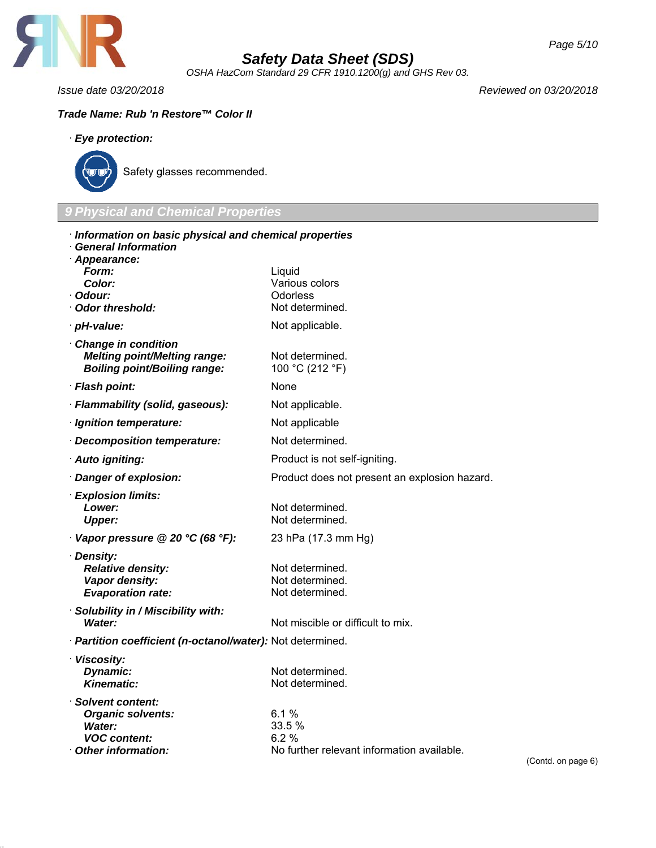

*OSHA HazCom Standard 29 CFR 1910.1200(g) and GHS Rev 03.*

*Issue date 03/20/2018 Reviewed on 03/20/2018*

# *Trade Name: Rub 'n Restore™ Color II*

· *Eye protection:*



Safety glasses recommended.

# *9 Physical and Chemical Properties*

| · Information on basic physical and chemical properties<br><b>General Information</b>                          |                                                                      |
|----------------------------------------------------------------------------------------------------------------|----------------------------------------------------------------------|
| · Appearance:<br><b>Form:</b><br>Color:<br>· Odour:                                                            | Liquid<br>Various colors<br><b>Odorless</b>                          |
| ∙ Odor threshold:                                                                                              | Not determined.                                                      |
| · pH-value:                                                                                                    | Not applicable.                                                      |
| Change in condition<br><b>Melting point/Melting range:</b><br><b>Boiling point/Boiling range:</b>              | Not determined.<br>100 °C (212 °F)                                   |
| · Flash point:                                                                                                 | None                                                                 |
| · Flammability (solid, gaseous):                                                                               | Not applicable.                                                      |
| · Ignition temperature:                                                                                        | Not applicable                                                       |
| Decomposition temperature:                                                                                     | Not determined.                                                      |
| · Auto igniting:                                                                                               | Product is not self-igniting.                                        |
| · Danger of explosion:                                                                                         | Product does not present an explosion hazard.                        |
| · Explosion limits:<br>Lower:<br><b>Upper:</b>                                                                 | Not determined.<br>Not determined.                                   |
| $\cdot$ Vapor pressure @ 20 °C (68 °F):                                                                        | 23 hPa (17.3 mm Hg)                                                  |
| · Density:<br><b>Relative density:</b><br>Vapor density:<br><b>Evaporation rate:</b>                           | Not determined.<br>Not determined.<br>Not determined.                |
| · Solubility in / Miscibility with:<br><b>Water:</b>                                                           | Not miscible or difficult to mix.                                    |
| · Partition coefficient (n-octanol/water): Not determined.                                                     |                                                                      |
| · Viscosity:<br>Dynamic:<br><b>Kinematic:</b>                                                                  | Not determined.<br>Not determined.                                   |
| · Solvent content:<br><b>Organic solvents:</b><br><b>Water:</b><br><b>VOC content:</b><br>· Other information: | 6.1%<br>33.5 %<br>6.2%<br>No further relevant information available. |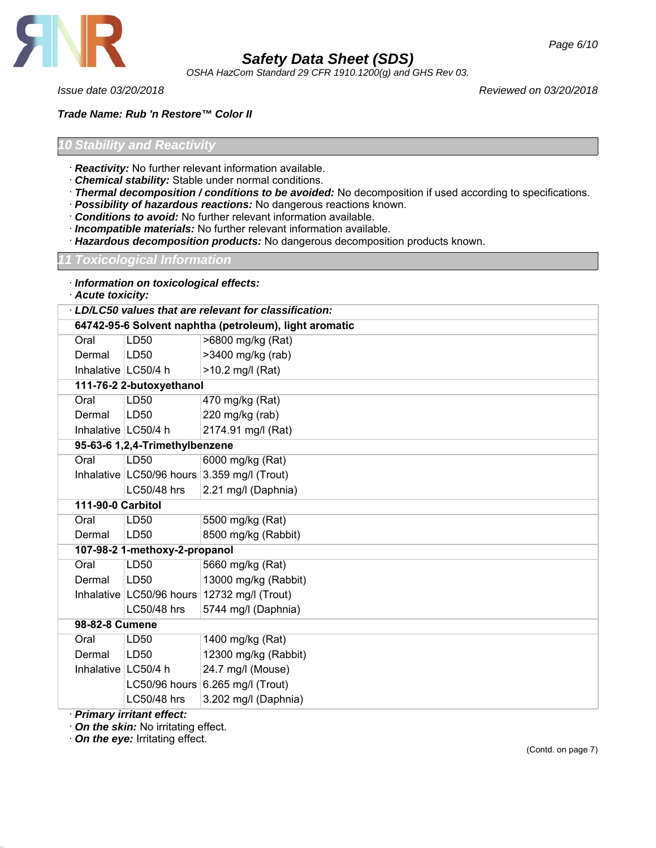

*OSHA HazCom Standard 29 CFR 1910.1200(g) and GHS Rev 03.*

*Trade Name: Rub 'n Restore™ Color II*

*Issue date 03/20/2018 Reviewed on 03/20/2018*

# *Stability and Reactivity*

- · *Reactivity:* No further relevant information available.
- · *Chemical stability:* Stable under normal conditions.
- · *Thermal decomposition / conditions to be avoided:* No decomposition if used according to specifications.
- · *Possibility of hazardous reactions:* No dangerous reactions known.
- · *Conditions to avoid:* No further relevant information available.
- · *Incompatible materials:* No further relevant information available.
- · *Hazardous decomposition products:* No dangerous decomposition products known.

## *11 Toxicological Information*

- · *Information on toxicological effects:*
- · *Acute toxicity:*

|                       | LD/LC50 values that are relevant for classification:   |                                               |  |  |
|-----------------------|--------------------------------------------------------|-----------------------------------------------|--|--|
|                       | 64742-95-6 Solvent naphtha (petroleum), light aromatic |                                               |  |  |
| Oral                  | LD50                                                   | >6800 mg/kg (Rat)                             |  |  |
| Dermal                | LD50                                                   | >3400 mg/kg (rab)                             |  |  |
| Inhalative   LC50/4 h |                                                        | >10.2 mg/l (Rat)                              |  |  |
|                       | 111-76-2 2-butoxyethanol                               |                                               |  |  |
| Oral                  | LD50                                                   | 470 mg/kg (Rat)                               |  |  |
| Dermal                | LD50                                                   | 220 mg/kg (rab)                               |  |  |
| Inhalative   LC50/4 h |                                                        | 2174.91 mg/l (Rat)                            |  |  |
|                       | 95-63-6 1,2,4-Trimethylbenzene                         |                                               |  |  |
| Oral                  | LD50                                                   | 6000 mg/kg (Rat)                              |  |  |
|                       |                                                        | Inhalative $LC50/96$ hours 3.359 mg/l (Trout) |  |  |
|                       | LC50/48 hrs                                            | 2.21 mg/l (Daphnia)                           |  |  |
|                       | 111-90-0 Carbitol                                      |                                               |  |  |
| Oral                  | LD50                                                   | 5500 mg/kg (Rat)                              |  |  |
| Dermal                | LD50                                                   | 8500 mg/kg (Rabbit)                           |  |  |
|                       | 107-98-2 1-methoxy-2-propanol                          |                                               |  |  |
| Oral                  | LD50                                                   | 5660 mg/kg (Rat)                              |  |  |
| Dermal                | LD50                                                   | 13000 mg/kg (Rabbit)                          |  |  |
|                       |                                                        | Inhalative LC50/96 hours 12732 mg/l (Trout)   |  |  |
|                       | LC50/48 hrs                                            | 5744 mg/l (Daphnia)                           |  |  |
| 98-82-8 Cumene        |                                                        |                                               |  |  |
| Oral                  | LD50                                                   | 1400 mg/kg (Rat)                              |  |  |
| Dermal                | LD50                                                   | 12300 mg/kg (Rabbit)                          |  |  |
| Inhalative   LC50/4 h |                                                        | 24.7 mg/l (Mouse)                             |  |  |
|                       |                                                        | LC50/96 hours $6.265$ mg/l (Trout)            |  |  |
|                       | LC50/48 hrs                                            | 3.202 mg/l (Daphnia)                          |  |  |
|                       | . Drimarv irritant affact:                             |                                               |  |  |

· *Primary irritant effect:*

· *On the skin:* No irritating effect.

· *On the eye:* Irritating effect.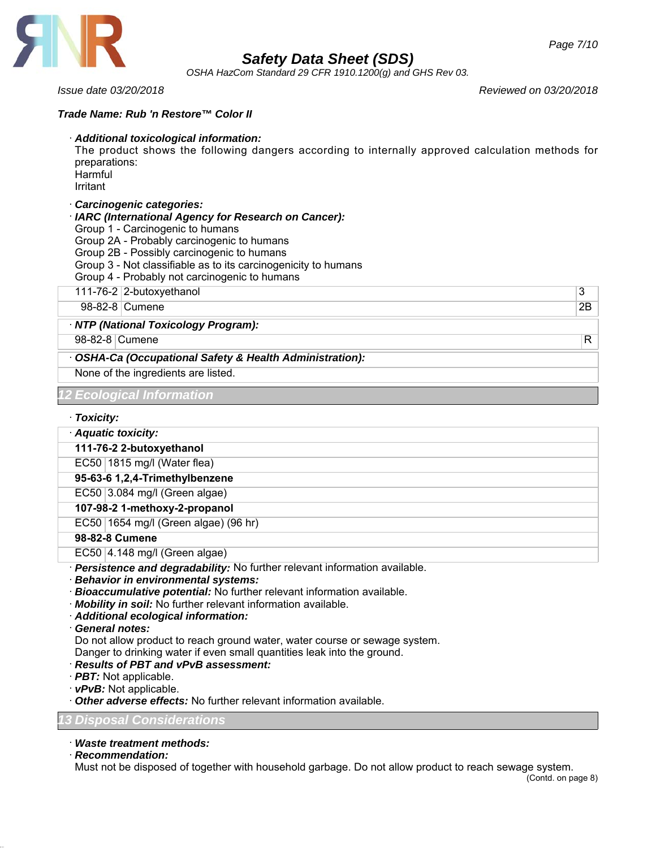

*OSHA HazCom Standard 29 CFR 1910.1200(g) and GHS Rev 03.*

# *Trade Name: Rub 'n Restore™ Color II*

- *Issue date 03/20/2018 Reviewed on 03/20/2018*
- 
- · *Additional toxicological information:*

The product shows the following dangers according to internally approved calculation methods for preparations:

Harmful Irritant

# · *Carcinogenic categories:*

- · *IARC (International Agency for Research on Cancer):*
- Group 1 Carcinogenic to humans
- Group 2A Probably carcinogenic to humans
- Group 2B Possibly carcinogenic to humans
- Group 3 Not classifiable as to its carcinogenicity to humans
- Group 4 Probably not carcinogenic to humans
- 111-76-2 2-butoxyethanol 3

98-82-8 Cumene 2B

· *NTP (National Toxicology Program):*

98-82-8 Cumene R

· *OSHA-Ca (Occupational Safety & Health Administration):*

None of the ingredients are listed.

# *12 Ecological Information*

## · *Toxicity:*

| · Aquatic toxicity:                  |
|--------------------------------------|
| 111-76-2 2-butoxyethanol             |
| $EC50$ 1815 mg/l (Water flea)        |
| 95-63-6 1,2,4-Trimethylbenzene       |
| EC50 3.084 mg/l (Green algae)        |
| 107-98-2 1-methoxy-2-propanol        |
| EC50 1654 mg/l (Green algae) (96 hr) |
| 98-82-8 Cumene                       |
| $EC50$ 4.148 mg/l (Green algae)      |

· *Persistence and degradability:* No further relevant information available.

- · *Behavior in environmental systems:*
- · *Bioaccumulative potential:* No further relevant information available.
- · *Mobility in soil:* No further relevant information available.
- · *Additional ecological information:*
- · *General notes:*

Do not allow product to reach ground water, water course or sewage system.

Danger to drinking water if even small quantities leak into the ground.

- · *Results of PBT and vPvB assessment:*
- · *PBT:* Not applicable.
- · *vPvB:* Not applicable.

· *Other adverse effects:* No further relevant information available.

## *13 Disposal Considerations*

## · *Waste treatment methods:*

· *Recommendation:*

Must not be disposed of together with household garbage. Do not allow product to reach sewage system.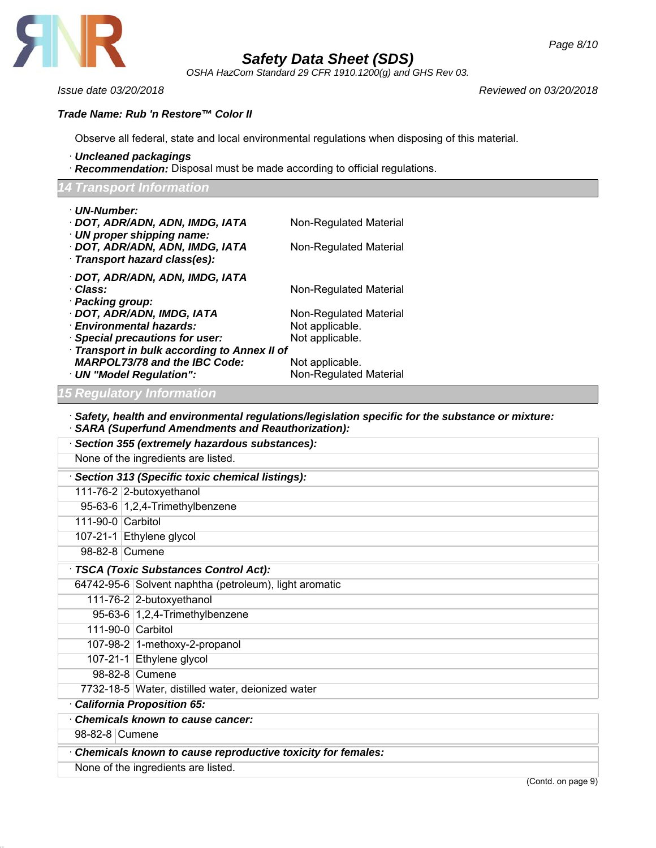

*OSHA HazCom Standard 29 CFR 1910.1200(g) and GHS Rev 03.*

*Page 8/10*

*Issue date 03/20/2018 Reviewed on 03/20/2018*

# *Trade Name: Rub 'n Restore™ Color II*

Observe all federal, state and local environmental regulations when disposing of this material.

- · *Uncleaned packagings*
- · *Recommendation:* Disposal must be made according to official regulations.

## *14 Transport Information*

| · UN-Number:<br>· DOT, ADR/ADN, ADN, IMDG, IATA<br>· UN proper shipping name:<br>· DOT, ADR/ADN, ADN, IMDG, IATA<br>· Transport hazard class(es):                                                                                                       | Non-Regulated Material<br>Non-Regulated Material                                                          |
|---------------------------------------------------------------------------------------------------------------------------------------------------------------------------------------------------------------------------------------------------------|-----------------------------------------------------------------------------------------------------------|
| · DOT, ADR/ADN, ADN, IMDG, IATA<br>· Class:<br>· Packing group:<br>· DOT, ADR/ADN, IMDG, IATA<br><b>Environmental hazards:</b><br>· Special precautions for user:<br>Transport in bulk according to Annex II of<br><b>MARPOL73/78 and the IBC Code:</b> | Non-Regulated Material<br>Non-Regulated Material<br>Not applicable.<br>Not applicable.<br>Not applicable. |
| · UN "Model Regulation":                                                                                                                                                                                                                                | <b>Non-Regulated Material</b>                                                                             |

# *15 Regulatory Information*

- · *Safety, health and environmental regulations/legislation specific for the substance or mixture:*
- · *SARA (Superfund Amendments and Reauthorization):*

| Section 355 (extremely hazardous substances):   |                                                        |  |  |
|-------------------------------------------------|--------------------------------------------------------|--|--|
|                                                 | None of the ingredients are listed.                    |  |  |
| Section 313 (Specific toxic chemical listings): |                                                        |  |  |
|                                                 | 111-76-2 $ 2$ -butoxyethanol                           |  |  |
|                                                 | 95-63-6 1,2,4-Trimethylbenzene                         |  |  |
| 111-90-0 Carbitol                               |                                                        |  |  |
|                                                 | 107-21-1 Ethylene glycol                               |  |  |
| 98-82-8 Cumene                                  |                                                        |  |  |
|                                                 | · TSCA (Toxic Substances Control Act):                 |  |  |
|                                                 | 64742-95-6 Solvent naphtha (petroleum), light aromatic |  |  |
|                                                 | 111-76-2 2-butoxyethanol                               |  |  |
|                                                 | 95-63-6 $1,2,4$ -Trimethylbenzene                      |  |  |
| 111-90-0 Carbitol                               |                                                        |  |  |
|                                                 | 107-98-2 1-methoxy-2-propanol                          |  |  |
|                                                 | 107-21-1 Ethylene glycol                               |  |  |
|                                                 | 98-82-8 Cumene                                         |  |  |
|                                                 | 7732-18-5 Water, distilled water, deionized water      |  |  |
| California Proposition 65:                      |                                                        |  |  |
|                                                 | Chemicals known to cause cancer:                       |  |  |
| 98-82-8 Cumene                                  |                                                        |  |  |

· *Chemicals known to cause reproductive toxicity for females:* None of the ingredients are listed.

(Contd. on page 9)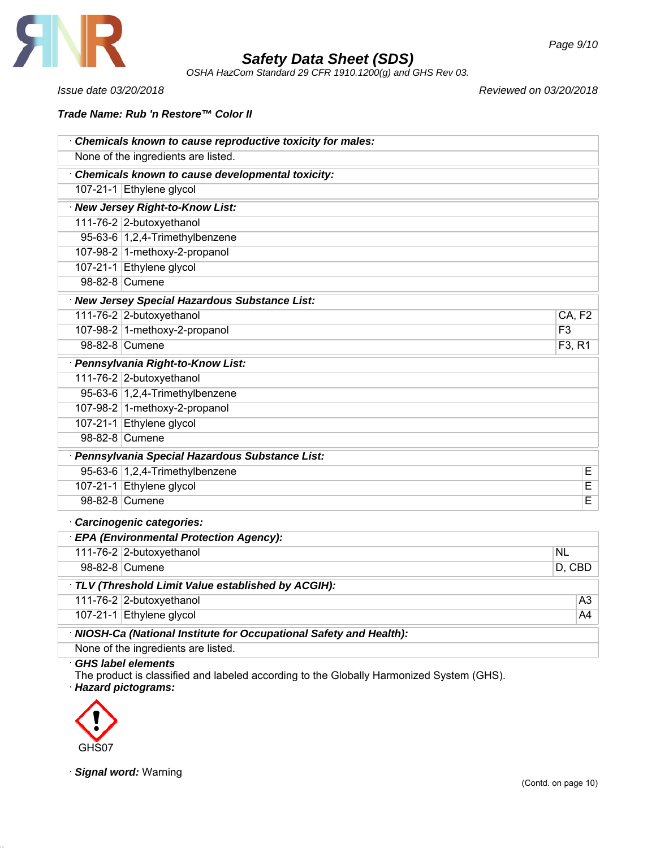

*OSHA HazCom Standard 29 CFR 1910.1200(g) and GHS Rev 03.*

*Issue date 03/20/2018 Reviewed on 03/20/2018*

# *Trade Name: Rub 'n Restore™ Color II*

|                                                  | Chemicals known to cause reproductive toxicity for males: |               |                         |
|--------------------------------------------------|-----------------------------------------------------------|---------------|-------------------------|
|                                                  | None of the ingredients are listed.                       |               |                         |
|                                                  | Chemicals known to cause developmental toxicity:          |               |                         |
|                                                  | 107-21-1 Ethylene glycol                                  |               |                         |
|                                                  | · New Jersey Right-to-Know List:                          |               |                         |
|                                                  | 111-76-2 2-butoxyethanol                                  |               |                         |
|                                                  | 95-63-6 1,2,4-Trimethylbenzene                            |               |                         |
|                                                  | 107-98-2 1-methoxy-2-propanol                             |               |                         |
|                                                  | 107-21-1 Ethylene glycol                                  |               |                         |
|                                                  | 98-82-8 Cumene                                            |               |                         |
|                                                  | · New Jersey Special Hazardous Substance List:            |               |                         |
|                                                  | 111-76-2 2-butoxyethanol                                  | <b>CA, F2</b> |                         |
|                                                  | 107-98-2 1-methoxy-2-propanol                             | F3            |                         |
|                                                  | 98-82-8 Cumene                                            | F3, R1        |                         |
|                                                  | · Pennsylvania Right-to-Know List:                        |               |                         |
|                                                  | 111-76-2 2-butoxyethanol                                  |               |                         |
|                                                  | 95-63-6 1,2,4-Trimethylbenzene                            |               |                         |
|                                                  | 107-98-2 1-methoxy-2-propanol                             |               |                         |
|                                                  | 107-21-1 Ethylene glycol                                  |               |                         |
|                                                  | 98-82-8 Cumene                                            |               |                         |
| · Pennsylvania Special Hazardous Substance List: |                                                           |               |                         |
|                                                  | 95-63-6 1,2,4-Trimethylbenzene                            |               | E                       |
|                                                  | 107-21-1 Ethylene glycol                                  |               | E                       |
|                                                  | 98-82-8 Cumene                                            |               | $\overline{\mathsf{E}}$ |
|                                                  | Carcinogenic categories:                                  |               |                         |

| <b>EPA (Environmental Protection Agency):</b>                       |        |
|---------------------------------------------------------------------|--------|
| 111-76-2 2-butoxyethanol                                            | NL     |
| 98-82-8 Cumene                                                      | D, CBD |
| TLV (Threshold Limit Value established by ACGIH):                   |        |
| 111-76-2 $ 2$ -butoxyethanol                                        | A3     |
| 107-21-1 Ethylene glycol                                            | A4     |
| · NIOSH-Ca (National Institute for Occupational Safety and Health): |        |
| None of the ingredients are listed.                                 |        |

### · *GHS label elements*

The product is classified and labeled according to the Globally Harmonized System (GHS). · *Hazard pictograms:*



· *Signal word:* Warning